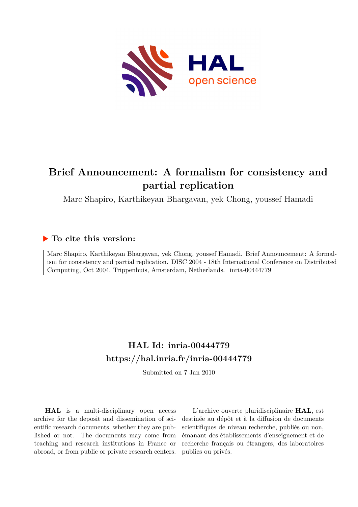

# **Brief Announcement: A formalism for consistency and partial replication**

Marc Shapiro, Karthikeyan Bhargavan, yek Chong, youssef Hamadi

## **To cite this version:**

Marc Shapiro, Karthikeyan Bhargavan, yek Chong, youssef Hamadi. Brief Announcement: A formalism for consistency and partial replication. DISC 2004 - 18th International Conference on Distributed Computing, Oct 2004, Trippenhuis, Amsterdam, Netherlands. inria-00444779

## **HAL Id: inria-00444779 <https://hal.inria.fr/inria-00444779>**

Submitted on 7 Jan 2010

**HAL** is a multi-disciplinary open access archive for the deposit and dissemination of scientific research documents, whether they are published or not. The documents may come from teaching and research institutions in France or abroad, or from public or private research centers.

L'archive ouverte pluridisciplinaire **HAL**, est destinée au dépôt et à la diffusion de documents scientifiques de niveau recherche, publiés ou non, émanant des établissements d'enseignement et de recherche français ou étrangers, des laboratoires publics ou privés.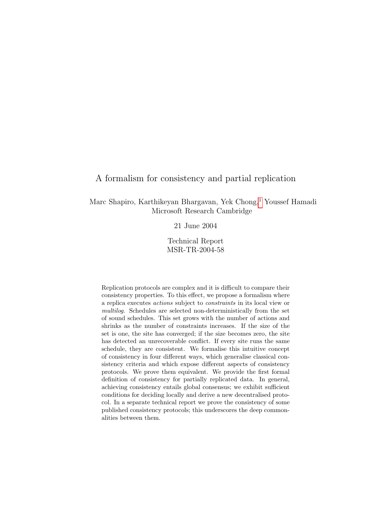## A formalism for consistency and partial replication

Marc Shapiro, Karthikeyan Bhargavan, Yek Chong,<sup>1</sup> Youssef Hamadi Microsoft Research Cambridge

21 June 2004

Technical Report MSR-TR-2004-58

Replication protocols are complex and it is difficult to compare their consistency properties. To this effect, we propose a formalism where a replica executes actions subject to constraints in its local view or multilog. Schedules are selected non-deterministically from the set of sound schedules. This set grows with the number of actions and shrinks as the number of constraints increases. If the size of the set is one, the site has converged; if the size becomes zero, the site has detected an unrecoverable conflict. If every site runs the same schedule, they are consistent. We formalise this intuitive concept of consistency in four different ways, which generalise classical consistency criteria and which expose different aspects of consistency protocols. We prove them equivalent. We provide the first formal definition of consistency for partially replicated data. In general, achieving consistency entails global consensus; we exhibit sufficient conditions for deciding locally and derive a new decentralised protocol. In a separate technical report we prove the consistency of some published consistency protocols; this underscores the deep commonalities between them.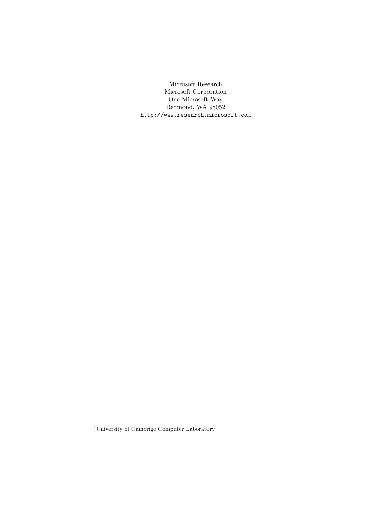Microsoft Research Microsoft Corporation One Microsoft Way Redmond, WA 98052 http://www.research.microsoft.com

 $^{1}$  University of Cambrige Computer Laboratory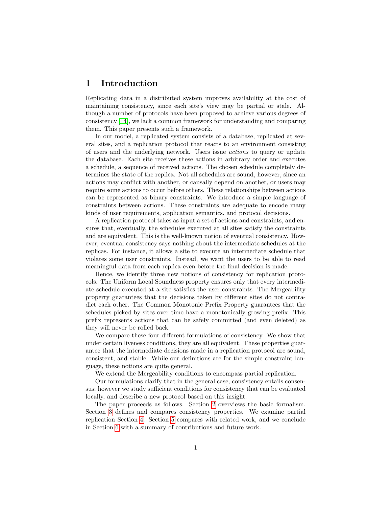## 1 Introduction

Replicating data in a distributed system improves availability at the cost of maintaining consistency, since each site's view may be partial or stale. Although a number of protocols have been proposed to achieve various degrees of consistency [14], we lack a common framework for understanding and comparing them. This paper presents such a framework.

In our model, a replicated system consists of a database, replicated at several sites, and a replication protocol that reacts to an environment consisting of users and the underlying network. Users issue actions to query or update the database. Each site receives these actions in arbitrary order and executes a schedule, a sequence of received actions. The chosen schedule completely determines the state of the replica. Not all schedules are sound, however, since an actions may conflict with another, or causally depend on another, or users may require some actions to occur before others. These relationships between actions can be represented as binary constraints. We introduce a simple language of constraints between actions. These constraints are adequate to encode many kinds of user requirements, application semantics, and protocol decisions.

A replication protocol takes as input a set of actions and constraints, and ensures that, eventually, the schedules executed at all sites satisfy the constraints and are equivalent. This is the well-known notion of eventual consistency. However, eventual consistency says nothing about the intermediate schedules at the replicas. For instance, it allows a site to execute an intermediate schedule that violates some user constraints. Instead, we want the users to be able to read meaningful data from each replica even before the final decision is made.

Hence, we identify three new notions of consistency for replication protocols. The Uniform Local Soundness property ensures only that every intermediate schedule executed at a site satisfies the user constraints. The Mergeability property guarantees that the decisions taken by different sites do not contradict each other. The Common Monotonic Prefix Property guarantees that the schedules picked by sites over time have a monotonically growing prefix. This prefix represents actions that can be safely committed (and even deleted) as they will never be rolled back.

We compare these four different formulations of consistency. We show that under certain liveness conditions, they are all equivalent. These properties guarantee that the intermediate decisions made in a replication protocol are sound, consistent, and stable. While our definitions are for the simple constraint language, these notions are quite general.

We extend the Mergeability conditions to encompass partial replication.

Our formulations clarify that in the general case, consistency entails consensus; however we study sufficient conditions for consistency that can be evaluated locally, and describe a new protocol based on this insight.

The paper proceeds as follows. Section 2 overviews the basic formalism. Section 3 defines and compares consistency properties. We examine partial replication Section 4. Section 5 compares with related work, and we conclude in Section 6 with a summary of contributions and future work.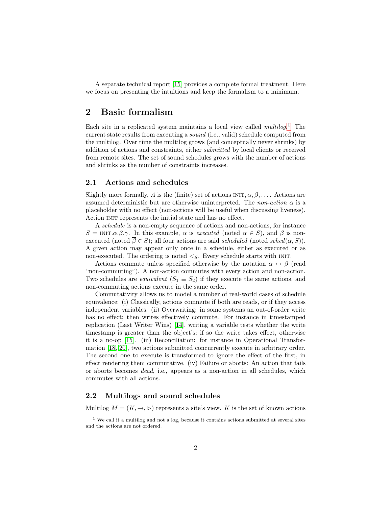A separate technical report [15] provides a complete formal treatment. Here we focus on presenting the intuitions and keep the formalism to a minimum.

## 2 Basic formalism

Each site in a replicated system maintains a local view called  $multip.1$  The current state results from executing a sound (i.e., valid) schedule computed from the multilog. Over time the multilog grows (and conceptually never shrinks) by addition of actions and constraints, either submitted by local clients or received from remote sites. The set of sound schedules grows with the number of actions and shrinks as the number of constraints increases.

#### 2.1 Actions and schedules

Slightly more formally, A is the (finite) set of actions  $INT, \alpha, \beta, \ldots$ . Actions are assumed deterministic but are otherwise uninterpreted. The non-action  $\bar{\alpha}$  is a placeholder with no effect (non-actions will be useful when discussing liveness). Action INIT represents the initial state and has no effect.

A schedule is a non-empty sequence of actions and non-actions, for instance  $S = \text{INT.}\alpha \cdot \overline{\beta} \cdot \gamma$ . In this example,  $\alpha$  is executed (noted  $\alpha \in S$ ), and  $\beta$  is nonexecuted (noted  $\overline{\beta} \in S$ ); all four actions are said scheduled (noted sched( $\alpha$ , S)). A given action may appear only once in a schedule, either as executed or as non-executed. The ordering is noted  $\leq_S$ . Every schedule starts with INIT.

Actions commute unless specified otherwise by the notation  $\alpha \leftrightarrow \beta$  (read "non-commuting"). A non-action commutes with every action and non-action. Two schedules are *equivalent*  $(S_1 \equiv S_2)$  if they execute the same actions, and non-commuting actions execute in the same order.

Commutativity allows us to model a number of real-world cases of schedule equivalence: (i) Classically, actions commute if both are reads, or if they access independent variables. (ii) Overwriting: in some systems an out-of-order write has no effect; then writes effectively commute. For instance in timestamped replication (Last Writer Wins) [14], writing a variable tests whether the write timestamp is greater than the object's; if so the write takes effect, otherwise it is a no-op [15]. (iii) Reconciliation: for instance in Operational Transformation [18, 20], two actions submitted concurrently execute in arbitrary order. The second one to execute is transformed to ignore the effect of the first, in effect rendering them commutative. (iv) Failure or aborts: An action that fails or aborts becomes dead, i.e., appears as a non-action in all schedules, which commutes with all actions.

#### 2.2 Multilogs and sound schedules

Multilog  $M = (K, \rightarrow, \rhd)$  represents a site's view. K is the set of known actions

<sup>1</sup> We call it a multilog and not a log, because it contains actions submitted at several sites and the actions are not ordered.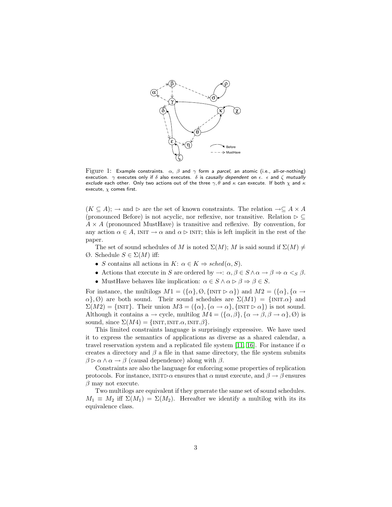

Figure 1: Example constraints.  $\alpha$ ,  $\beta$  and  $\gamma$  form a parcel, an atomic (i.e., all-or-nothing) execution.  $\gamma$  executes only if  $\delta$  also executes.  $\delta$  is causally dependent on  $\epsilon$ .  $\epsilon$  and  $\zeta$  mutually exclude each other. Only two actions out of the three  $\gamma, \theta$  and  $\kappa$  can execute. If both  $\chi$  and  $\kappa$ execute,  $\chi$  comes first.

 $(K \subseteq A);$  → and  $\triangleright$  are the set of known constraints. The relation  $\rightarrow \subseteq A \times A$ (pronounced Before) is not acyclic, nor reflexive, nor transitive. Relation  $\triangleright \subseteq$  $A \times A$  (pronounced MustHave) is transitive and reflexive. By convention, for any action  $\alpha \in A$ , INIT  $\rightarrow \alpha$  and  $\alpha \triangleright$  INIT; this is left implicit in the rest of the paper.

The set of sound schedules of M is noted  $\Sigma(M)$ ; M is said sound if  $\Sigma(M) \neq$ Ø. Schedule S ∈ Σ(M) iff:

- S contains all actions in  $K: \alpha \in K \Rightarrow \operatorname{sched}(\alpha, S)$ .
- Actions that execute in S are ordered by  $\rightarrow : \alpha, \beta \in S \land \alpha \rightarrow \beta \Rightarrow \alpha <_S \beta$ .
- Must Have behaves like implication:  $\alpha \in S \land \alpha \triangleright \beta \Rightarrow \beta \in S$ .

For instance, the multilogs  $M1 = (\{\alpha\}, \emptyset, \{\text{INIT} \triangleright \alpha\})$  and  $M2 = (\{\alpha\}, \{\alpha \rightarrow \alpha\})$  $\alpha$ ,  $\emptyset$ ) are both sound. Their sound schedules are  $\Sigma(M1) = \{NIT \alpha\}$  and  $\Sigma(M2) = \{ \text{INIT} \}.$  Their union  $M3 = (\{\alpha\}, \{\alpha \to \alpha\}, \{\text{INIT} \triangleright \alpha\})$  is not sound. Although it contains a  $\rightarrow$  cycle, multilog  $M = (\{\alpha, \beta\}, \{\alpha \rightarrow \beta, \beta \rightarrow \alpha\}, \emptyset)$  is sound, since  $\Sigma(M4) = \{ \text{INIT}, \text{INIT}.\alpha, \text{INIT}.\beta \}.$ 

This limited constraints language is surprisingly expressive. We have used it to express the semantics of applications as diverse as a shared calendar, a travel reservation system and a replicated file system [11, 16]. For instance if  $\alpha$ creates a directory and  $\beta$  a file in that same directory, the file system submits  $\beta \triangleright \alpha \wedge \alpha \rightarrow \beta$  (causal dependence) along with  $\beta$ .

Constraints are also the language for enforcing some properties of replication protocols. For instance,  $INT\triangleright\alpha$  ensures that  $\alpha$  must execute, and  $\beta \rightarrow \beta$  ensures  $\beta$  may not execute.

Two multilogs are equivalent if they generate the same set of sound schedules.  $M_1 \equiv M_2$  iff  $\Sigma(M_1) = \Sigma(M_2)$ . Hereafter we identify a multilog with its its equivalence class.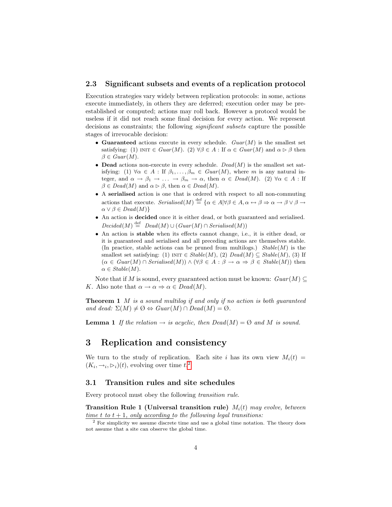#### 2.3 Significant subsets and events of a replication protocol

Execution strategies vary widely between replication protocols: in some, actions execute immediately, in others they are deferred; execution order may be preestablished or computed; actions may roll back. However a protocol would be useless if it did not reach some final decision for every action. We represent decisions as constraints; the following significant subsets capture the possible stages of irrevocable decision:

- Guaranteed actions execute in every schedule.  $Guar(M)$  is the smallest set satisfying: (1) INIT  $\in$  Guar(M). (2)  $\forall \beta \in A$ : If  $\alpha \in$  Guar(M) and  $\alpha \triangleright \beta$  then  $\beta \in Guar(M).$
- Dead actions non-execute in every schedule.  $Dead(M)$  is the smallest set satisfying: (1)  $\forall \alpha \in A : \text{If } \beta_1, \ldots, \beta_m \in \text{Guar}(M)$ , where m is any natural integer, and  $\alpha \to \beta_1 \to \ldots \to \beta_m \to \alpha$ , then  $\alpha \in Dead(M)$ . (2)  $\forall \alpha \in A$ : If  $\beta \in Dead(M)$  and  $\alpha \triangleright \beta$ , then  $\alpha \in Dead(M)$ .
- A serialised action is one that is ordered with respect to all non-commuting actions that execute. Serialised $(M) \stackrel{\text{def}}{=} {\alpha \in A \mid \forall \beta \in A, \alpha \leftrightarrow \beta \Rightarrow \alpha \to \beta \vee \beta \to \alpha}$  $\alpha \vee \beta \in Dead(M)$
- An action is decided once it is either dead, or both guaranteed and serialised.  $Decided(M) \stackrel{\text{def}}{=} \text{Dead}(M) \cup (\text{Guar}(M) \cap \text{Serialised}(M))$
- An action is stable when its effects cannot change, i.e., it is either dead, or it is guaranteed and serialised and all preceding actions are themselves stable. (In practice, stable actions can be pruned from multilogs.)  $Stable(M)$  is the smallest set satisfying: (1) INIT ∈  $Stable(M)$ , (2)  $Dead(M) \subseteq Stable(M)$ , (3) If  $(\alpha \in \text{Guar}(M) \cap \text{Serialised}(M)) \wedge (\forall \beta \in A : \beta \rightarrow \alpha \Rightarrow \beta \in \text{Stable}(M))$  then  $\alpha \in Stable(M).$

Note that if M is sound, every guaranteed action must be known:  $Guar(M) \subseteq$ K. Also note that  $\alpha \to \alpha \Rightarrow \alpha \in Dead(M)$ .

**Theorem 1** M is a sound multilog if and only if no action is both quaranteed and dead:  $\Sigma(M) \neq \emptyset \Leftrightarrow Guard(M) \cap Dead(M) = \emptyset$ .

**Lemma 1** If the relation  $\rightarrow$  is acyclic, then  $Dead(M) = \emptyset$  and M is sound.

## 3 Replication and consistency

We turn to the study of replication. Each site i has its own view  $M_i(t) =$  $(K_i, \rightarrow_i, \rhd_i)(t)$ , evolving over time  $t^2$ .

#### 3.1 Transition rules and site schedules

Every protocol must obey the following transition rule.

Transition Rule 1 (Universal transition rule)  $M_i(t)$  may evolve, between time t to  $t + 1$ , only according to the following legal transitions:

 $2$  For simplicity we assume discrete time and use a global time notation. The theory does not assume that a site can observe the global time.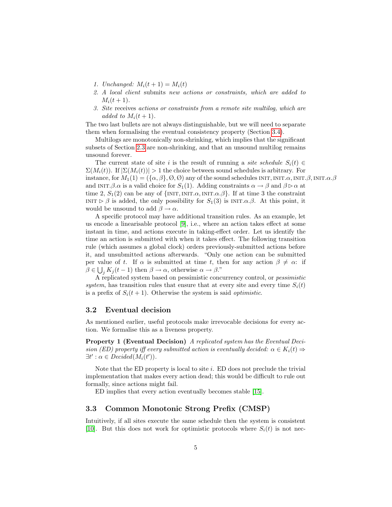- 1. Unchanged:  $M_i(t + 1) = M_i(t)$
- 2. A local client submits new actions or constraints, which are added to  $M_i(t+1)$ .
- 3. Site receives actions or constraints from a remote site multilog, which are added to  $M_i(t+1)$ .

The two last bullets are not always distinguishable, but we will need to separate them when formalising the eventual consistency property (Section 3.4).

Multilogs are monotonically non-shrinking, which implies that the significant subsets of Section 2.3 are non-shrinking, and that an unsound multilog remains unsound forever.

The current state of site i is the result of running a site schedule  $S_i(t) \in$  $\Sigma(M_i(t))$ . If  $|\Sigma(M_i(t))| > 1$  the choice between sound schedules is arbitrary. For instance, for  $M_1(1) = (\{\alpha, \beta\}, \emptyset, \emptyset)$  any of the sound schedules INIT, INIT. $\alpha$ , INIT. $\beta$ , INIT. $\alpha$ . $\beta$ and INIT. $\beta.\alpha$  is a valid choice for  $S_1(1)$ . Adding constraints  $\alpha \to \beta$  and  $\beta \triangleright \alpha$  at time 2,  $S_1(2)$  can be any of  $\{INT, INT. \alpha, INT. \alpha, \beta\}$ . If at time 3 the constraint INIT  $\triangleright \beta$  is added, the only possibility for  $S_1(3)$  is INIT. $\alpha.\beta$ . At this point, it would be unsound to add  $\beta \rightarrow \alpha$ .

A specific protocol may have additional transition rules. As an example, let us encode a linearisable protocol  $[9]$ , i.e., where an action takes effect at some instant in time, and actions execute in taking-effect order. Let us identify the time an action is submitted with when it takes effect. The following transition rule (which assumes a global clock) orders previously-submitted actions before it, and unsubmitted actions afterwards. "Only one action can be submitted per value of t. If  $\alpha$  is submitted at time t, then for any action  $\beta \neq \alpha$ : if  $\beta \in \bigcup_j K_j(t-1)$  then  $\beta \to \alpha$ , otherwise  $\alpha \to \beta$ ."

A replicated system based on pessimistic concurrency control, or pessimistic system, has transition rules that ensure that at every site and every time  $S_i(t)$ is a prefix of  $S_i(t+1)$ . Otherwise the system is said *optimistic*.

#### 3.2 Eventual decision

As mentioned earlier, useful protocols make irrevocable decisions for every action. We formalise this as a liveness property.

Property 1 (Eventual Decision) A replicated system has the Eventual Decision (ED) property iff every submitted action is eventually decided:  $\alpha \in K_i(t) \Rightarrow$  $\exists t' : \alpha \in Decided(M_i(t'))$ .

Note that the ED property is local to site  $i$ . ED does not preclude the trivial implementation that makes every action dead; this would be difficult to rule out formally, since actions might fail.

ED implies that every action eventually becomes stable [15].

#### 3.3 Common Monotonic Strong Prefix (CMSP)

Intuitively, if all sites execute the same schedule then the system is consistent [10]. But this does not work for optimistic protocols where  $S_i(t)$  is not nec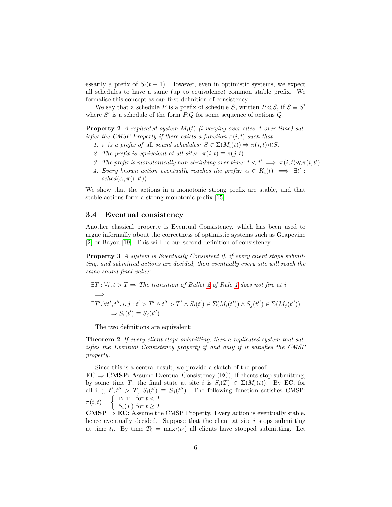essarily a prefix of  $S_i(t + 1)$ . However, even in optimistic systems, we expect all schedules to have a same (up to equivalence) common stable prefix. We formalise this concept as our first definition of consistency.

We say that a schedule P is a prefix of schedule S, written  $P \ll S$ , if  $S \equiv S'$ where  $S'$  is a schedule of the form  $P.Q$  for some sequence of actions  $Q$ .

**Property 2** A replicated system  $M_i(t)$  (i varying over sites, t over time) satisfies the CMSP Property if there exists a function  $\pi(i, t)$  such that:

- 1. π is a prefix of all sound schedules:  $S \in \Sigma(M_i(t)) \Rightarrow \pi(i, t) \ll S$ .
- 2. The prefix is equivalent at all sites:  $\pi(i, t) \equiv \pi(j, t)$
- 3. The prefix is monotonically non-shrinking over time:  $t < t' \implies \pi(i, t) \ll \pi(i, t')$
- 4. Every known action eventually reaches the prefix:  $\alpha \in K_i(t) \implies \exists t'$ :  $sched(\alpha, \pi(i, t'))$

We show that the actions in a monotonic strong prefix are stable, and that stable actions form a strong monotonic prefix [15].

#### 3.4 Eventual consistency

Another classical property is Eventual Consistency, which has been used to argue informally about the correctness of optimistic systems such as Grapevine [2] or Bayou [19]. This will be our second definition of consistency.

Property 3 A system is Eventually Consistent if, if every client stops submitting, and submitted actions are decided, then eventually every site will reach the same sound final value:

$$
\exists T : \forall i, t > T \Rightarrow \text{The transition of Bullet 2 of Rule 1 does not fire at } i
$$
\n
$$
\implies
$$
\n
$$
\exists T', \forall t', t'', i, j : t' > T' \land t'' > T' \land S_i(t') \in \Sigma(M_i(t')) \land S_j(t'') \in \Sigma(M_j(t''))
$$
\n
$$
\implies S_i(t') \equiv S_j(t'')
$$

The two definitions are equivalent:

**Theorem 2** If every client stops submitting, then a replicated system that satisfies the Eventual Consistency property if and only if it satisfies the CMSP property.

Since this is a central result, we provide a sketch of the proof.

 $EC \Rightarrow CMSP:$  Assume Eventual Consistency (EC); if clients stop submitting, by some time T, the final state at site i is  $S_i(T) \in \Sigma(M_i(t))$ . By EC, for all i, j,  $t', t'' > T$ ,  $S_i(t') \equiv S_j(t'')$ . The following function satisfies CMSP:  $\pi(i,t) = \begin{cases} \text{INT} & \text{for } t < T \\ \frac{C}{T} & \text{for } t > T \end{cases}$ 

 $S_i(T)$  for  $t \geq T$ 

**CMSP**  $\Rightarrow$  **EC:** Assume the CMSP Property. Every action is eventually stable, hence eventually decided. Suppose that the client at site  $i$  stops submitting at time  $t_i$ . By time  $T_0 = \max_i(t_i)$  all clients have stopped submitting. Let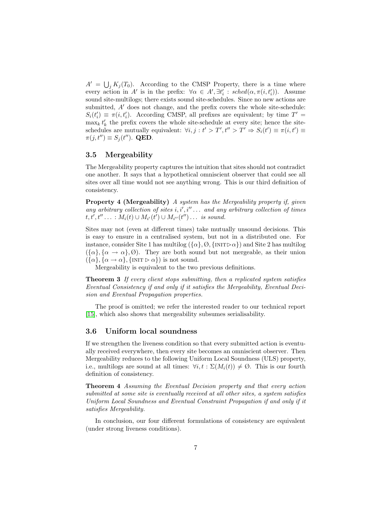$A' = \bigcup_j K_j(T_0)$ . According to the CMSP Property, there is a time where every action in A' is in the prefix:  $\forall \alpha \in A', \exists t_i' : \text{sched}(\alpha, \pi(i, t_i')).$  Assume sound site-multilogs; there exists sound site-schedules. Since no new actions are submitted,  $A'$  does not change, and the prefix covers the whole site-schedule:  $S_i(t'_i) \equiv \pi(i, t'_i)$ . According CMSP, all prefixes are equivalent; by time  $T' =$  $\max_k t'_k$  the prefix covers the whole site-schedule at every site; hence the siteschedules are mutually equivalent:  $\forall i, j : t' > T', t'' > T' \Rightarrow S_i(t') \equiv \pi(i, t') \equiv$  $\pi(j, t'') \equiv S_j (t'')$ . QED.

#### 3.5 Mergeability

The Mergeability property captures the intuition that sites should not contradict one another. It says that a hypothetical omniscient observer that could see all sites over all time would not see anything wrong. This is our third definition of consistency.

Property 4 (Mergeability) A system has the Mergeability property if, given any arbitrary collection of sites  $i, i', i'' \dots$  and any arbitrary collection of times  $t, t', t'' \dots : M_i(t) \cup M_{i'}(t') \cup M_{i''}(t'') \dots$  is sound.

Sites may not (even at different times) take mutually unsound decisions. This is easy to ensure in a centralised system, but not in a distributed one. For instance, consider Site 1 has multilog  $({\alpha}, \emptyset, {\{N\} \mid N} \cap \alpha)$  and Site 2 has multilog  $({\alpha}, {\alpha} \rightarrow {\alpha}, {\beta})$ . They are both sound but not mergeable, as their union  $({\{\alpha\}, {\{\alpha \rightarrow \alpha\}, {\{\text{INIT} \triangleright \alpha\}}})$  is not sound.

Mergeability is equivalent to the two previous definitions.

**Theorem 3** If every client stops submitting, then a replicated system satisfies Eventual Consistency if and only if it satisfies the Mergeability, Eventual Decision and Eventual Propagation properties.

The proof is omitted; we refer the interested reader to our technical report [15], which also shows that mergeability subsumes serialisability.

#### 3.6 Uniform local soundness

If we strengthen the liveness condition so that every submitted action is eventually received everywhere, then every site becomes an omniscient observer. Then Mergeability reduces to the following Uniform Local Soundness (ULS) property, i.e., multilogs are sound at all times:  $\forall i, t : \Sigma(M_i(t)) \neq \emptyset$ . This is our fourth definition of consistency.

Theorem 4 Assuming the Eventual Decision property and that every action submitted at some site is eventually received at all other sites, a system satisfies Uniform Local Soundness and Eventual Constraint Propagation if and only if it satisfies Mergeability.

In conclusion, our four different formulations of consistency are equivalent (under strong liveness conditions).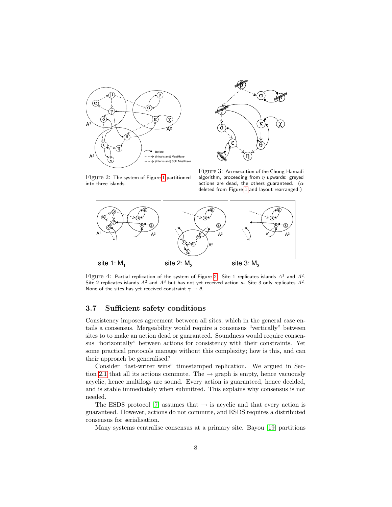



Figure 2: The system of Figure 1 partitioned into three islands.

Figure 3: An execution of the Chong-Hamadi algorithm, proceeding from  $\eta$  upwards: greyed actions are dead, the others guaranteed. ( $\alpha$ deleted from Figure 1 and layout rearranged.)



 $\rm{Figure\ 4:}$  Partial replication of the system of Figure 2. Site 1 replicates islands  $A^1$  and  $A^2.$ Site 2 replicates islands  $A^2$  and  $A^3$  but has not yet received action  $\kappa$ . Site 3 only replicates  $A^2$ . None of the sites has yet received constraint  $\gamma \to \theta$ .

#### 3.7 Sufficient safety conditions

Consistency imposes agreement between all sites, which in the general case entails a consensus. Mergeability would require a consensus "vertically" between sites to to make an action dead or guaranteed. Soundness would require consensus "horizontally" between actions for consistency with their constraints. Yet some practical protocols manage without this complexity; how is this, and can their approach be generalised?

Consider "last-writer wins" timestamped replication. We argued in Section 2.1 that all its actions commute. The  $\rightarrow$  graph is empty, hence vacuously acyclic, hence multilogs are sound. Every action is guaranteed, hence decided, and is stable immediately when submitted. This explains why consensus is not needed.

The ESDS protocol [7] assumes that  $\rightarrow$  is acyclic and that every action is guaranteed. However, actions do not commute, and ESDS requires a distributed consensus for serialisation.

Many systems centralise consensus at a primary site. Bayou [19] partitions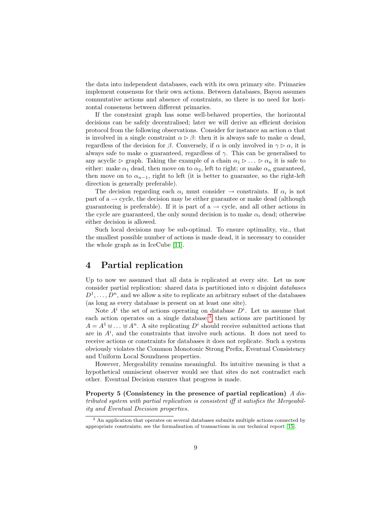the data into independent databases, each with its own primary site. Primaries implement consensus for their own actions. Between databases, Bayou assumes commutative actions and absence of constraints, so there is no need for horizontal consensus between different primaries.

If the constraint graph has some well-behaved properties, the horizontal decisions can be safely decentralised; later we will derive an efficient decision protocol from the following observations. Consider for instance an action  $\alpha$  that is involved in a single constraint  $\alpha \triangleright \beta$ : then it is always safe to make  $\alpha$  dead, regardless of the decision for  $\beta$ . Conversely, if  $\alpha$  is only involved in  $\gamma \triangleright \alpha$ , it is always safe to make  $\alpha$  guaranteed, regardless of  $\gamma$ . This can be generalised to any acyclic  $\triangleright$  graph. Taking the example of a chain  $\alpha_1 \triangleright ... \triangleright \alpha_n$  it is safe to either: make  $\alpha_1$  dead, then move on to  $\alpha_2$ , left to right; or make  $\alpha_n$  guaranteed, then move on to  $\alpha_{n-1}$ , right to left (it is better to guarantee, so the right-left direction is generally preferable).

The decision regarding each  $\alpha_i$  must consider  $\rightarrow$  constraints. If  $\alpha_i$  is not part of a  $\rightarrow$  cycle, the decision may be either guarantee or make dead (although guaranteeing is preferable). If it is part of  $a \rightarrow cycle$ , and all other actions in the cycle are guaranteed, the only sound decision is to make  $\alpha_i$  dead; otherwise either decision is allowed.

Such local decisions may be sub-optimal. To ensure optimality, viz., that the smallest possible number of actions is made dead, it is necessary to consider the whole graph as in IceCube [11].

## 4 Partial replication

Up to now we assumed that all data is replicated at every site. Let us now consider partial replication: shared data is partitioned into  $n$  disjoint *databases*  $D^1, \ldots, D^n$ , and we allow a site to replicate an arbitrary subset of the databases (as long as every database is present on at least one site).

Note  $A^i$  the set of actions operating on database  $D^i$ . Let us assume that each action operates on a single database;<sup>3</sup> then actions are partitioned by  $A = A^1 \uplus \ldots \uplus A^n$ . A site replicating  $D^i$  should receive submitted actions that are in  $A^i$ , and the constraints that involve such actions. It does not need to receive actions or constraints for databases it does not replicate. Such a system obviously violates the Common Monotonic Strong Prefix, Eventual Consistency and Uniform Local Soundness properties.

However, Mergeability remains meaningful. Its intuitive meaning is that a hypothetical omniscient observer would see that sites do not contradict each other. Eventual Decision ensures that progress is made.

Property 5 (Consistency in the presence of partial replication) A distributed system with partial replication is consistent iff it satisfies the Mergeability and Eventual Decision properties.

 $\overline{\text{3 An}}$  application that operates on several databases submits multiple actions connected by appropriate constraints; see the formalisation of transactions in our technical report [15].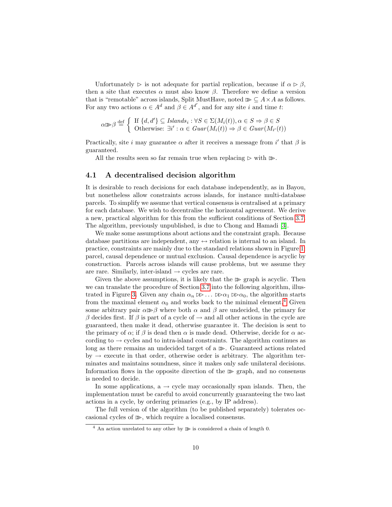Unfortunately  $\triangleright$  is not adequate for partial replication, because if  $\alpha \triangleright \beta$ , then a site that executes  $\alpha$  must also know  $\beta$ . Therefore we define a version that is "remotable" across islands, Split MustHave, noted  $\mathcal{B} \subseteq A \times A$  as follows. For any two actions  $\alpha \in A^d$  and  $\beta \in A^{d'}$ , and for any site i and time t:

$$
\alpha \triangleright \beta \stackrel{\text{def}}{=} \left\{ \begin{array}{l} \text{If } \{d, d'\} \subseteq \mathit{Islands}_i : \forall S \in \Sigma(M_i(t)), \alpha \in S \Rightarrow \beta \in S \\ \text{Otherwise: } \exists i' : \alpha \in \mathit{Guar}(M_i(t)) \Rightarrow \beta \in \mathit{Guar}(M_{i'}(t)) \end{array} \right.
$$

Practically, site *i* may guarantee  $\alpha$  after it receives a message from *i'* that  $\beta$  is guaranteed.

All the results seen so far remain true when replacing  $\triangleright$  with  $\mathbb{D}$ .

#### 4.1 A decentralised decision algorithm

It is desirable to reach decisions for each database independently, as in Bayou, but nonetheless allow constraints across islands, for instance multi-database parcels. To simplify we assume that vertical consensus is centralised at a primary for each database. We wish to decentralise the horizontal agreement. We derive a new, practical algorithm for this from the sufficient conditions of Section 3.7. The algorithm, previously unpublished, is due to Chong and Hamadi [3].

We make some assumptions about actions and the constraint graph. Because database partitions are independent, any  $\leftrightarrow$  relation is internal to an island. In practice, constraints are mainly due to the standard relations shown in Figure 1: parcel, causal dependence or mutual exclusion. Causal dependence is acyclic by construction. Parcels across islands will cause problems, but we assume they are rare. Similarly, inter-island  $\rightarrow$  cycles are rare.

Given the above assumptions, it is likely that the  $\mathbb{B}$  graph is acyclic. Then we can translate the procedure of Section 3.7 into the following algorithm, illustrated in Figure 3. Given any chain  $\alpha_n \gg \ldots \gg \alpha_1 \gg \alpha_0$ , the algorithm starts from the maximal element  $\alpha_0$  and works back to the minimal element.<sup>4</sup> Given some arbitrary pair  $\alpha \gg \beta$  where both  $\alpha$  and  $\beta$  are undecided, the primary for β decides first. If β is part of a cycle of  $\rightarrow$  and all other actions in the cycle are guaranteed, then make it dead, otherwise guarantee it. The decision is sent to the primary of  $\alpha$ ; if  $\beta$  is dead then  $\alpha$  is made dead. Otherwise, decide for  $\alpha$  according to  $\rightarrow$  cycles and to intra-island constraints. The algorithm continues as long as there remains an undecided target of a  $\mathbb{B}$ . Guaranteed actions related  $by \rightarrow$  execute in that order, otherwise order is arbitrary. The algorithm terminates and maintains soundness, since it makes only safe unilateral decisions. Information flows in the opposite direction of the  $\mathbb{B}$  graph, and no consensus is needed to decide.

In some applications,  $a \rightarrow cycle$  may occasionally span islands. Then, the implementation must be careful to avoid concurrently guaranteeing the two last actions in a cycle, by ordering primaries (e.g., by IP address).

The full version of the algorithm (to be published separately) tolerates occasional cycles of  $\gg$ , which require a localised consensus.

<sup>&</sup>lt;sup>4</sup> An action unrelated to any other by  $\gg$  is considered a chain of length 0.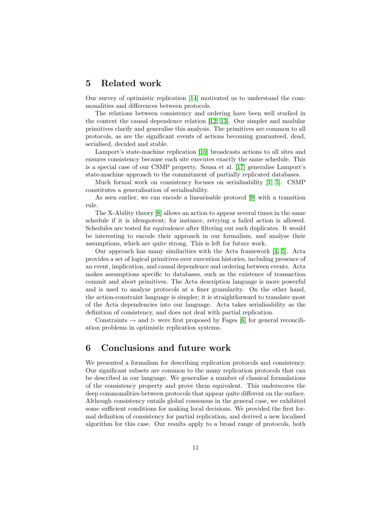## 5 Related work

Our survey of optimistic replication [14] motivated us to understand the commonalities and differences between protocols.

The relations between consistency and ordering have been well studied in the context the causal dependence relation [12, 13]. Our simpler and modular primitives clarify and generalise this analysis. The primitives are common to all protocols, as are the significant events of actions becoming guaranteed, dead, serialised, decided and stable.

Lamport's state-machine replication [10] broadcasts actions to all sites and ensures consistency because each site executes exactly the same schedule. This is a special case of our CSMP property. Sousa et al. [17] generalise Lamport's state-machine approach to the commitment of partially replicated databases.

Much formal work on consistency focuses on serialisability [1, 5]. CSMP constitutes a generalisation of serialisability.

As seen earlier, we can encode a linearisable protocol [9] with a transition rule.

The X-Ability theory [8] allows an action to appear several times in the same schedule if it is idempotent; for instance, retrying a failed action is allowed. Schedules are tested for equivalence after filtering out such duplicates. It would be interesting to encode their approach in our formalism, and analyse their assumptions, which are quite strong. This is left for future work.

Our approach has many similarities with the Acta framework [4, 5]. Acta provides a set of logical primitives over execution histories, including presence of an event, implication, and causal dependence and ordering between events. Acta makes assumptions specific to databases, such as the existence of transaction commit and abort primitives. The Acta description language is more powerful and is used to analyze protocols at a finer granularity. On the other hand, the action-constraint language is simpler; it is straightforward to translate most of the Acta dependencies into our language. Acta takes serialisability as the definition of consistency, and does not deal with partial replication.

Constraints  $\rightarrow$  and  $\triangleright$  were first proposed by Fages [6] for general reconciliation problems in optimistic replication systems.

### 6 Conclusions and future work

We presented a formalism for describing replication protocols and consistency. Our significant subsets are common to the many replication protocols that can be described in our language. We generalise a number of classical formulations of the consistency property and prove them equivalent. This underscores the deep commonalities between protocols that appear quite different on the surface. Although consistency entails global consensus in the general case, we exhibited some sufficient conditions for making local decisions. We provided the first formal definition of consistency for partial replication, and derived a new localised algorithm for this case. Our results apply to a broad range of protocols, both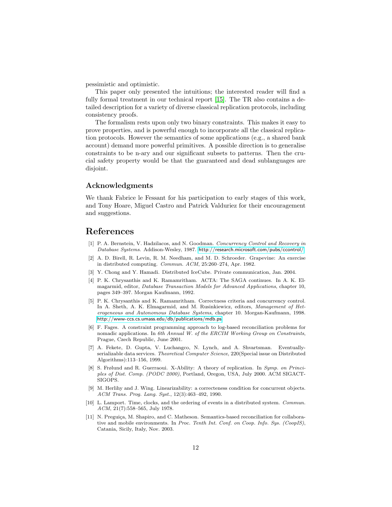pessimistic and optimistic.

This paper only presented the intuitions; the interested reader will find a fully formal treatment in our technical report [15]. The TR also contains a detailed description for a variety of diverse classical replication protocols, including consistency proofs.

The formalism rests upon only two binary constraints. This makes it easy to prove properties, and is powerful enough to incorporate all the classical replication protocols. However the semantics of some applications (e.g., a shared bank account) demand more powerful primitives. A possible direction is to generalise constraints to be n-ary and our significant subsets to patterns. Then the crucial safety property would be that the guaranteed and dead sublanguages are disjoint.

#### Acknowledgments

We thank Fabrice le Fessant for his participation to early stages of this work, and Tony Hoare, Miguel Castro and Patrick Valduriez for their encouragement and suggestions.

#### References

- [1] P. A. Bernstein, V. Hadzilacos, and N. Goodman. Concurrency Control and Recovery in Database Systems. Addison-Wesley, 1987. <http://research.microsoft.com/pubs/ccontrol/>.
- [2] A. D. Birell, R. Levin, R. M. Needham, and M. D. Schroeder. Grapevine: An exercise in distributed computing. Commun. ACM, 25:260–274, Apr. 1982.
- [3] Y. Chong and Y. Hamadi. Distributed IceCube. Private communication, Jan. 2004.
- [4] P. K. Chrysanthis and K. Ramamritham. ACTA: The SAGA continues. In A. K. Elmagarmid, editor, Database Transaction Models for Advanced Applications, chapter 10, pages 349–397. Morgan Kaufmann, 1992.
- [5] P. K. Chrysanthis and K. Ramamritham. Correctness criteria and concurrency control. In A. Sheth, A. K. Elmagarmid, and M. Rusinkiewicz, editors, Management of Heterogeneous and Autonomous Database Systems, chapter 10. Morgan-Kaufmann, 1998. <http://www-ccs.cs.umass.edu/db/publications/mdb.ps>.
- [6] F. Fages. A constraint programming approach to log-based reconciliation problems for nomadic applications. In 6th Annual W. of the ERCIM Working Group on Constraints, Prague, Czech Republic, June 2001.
- [7] A. Fekete, D. Gupta, V. Luchangco, N. Lynch, and A. Shvartsman. Eventuallyserializable data services. Theoretical Computer Science, 220(Special issue on Distributed Algorithms):113–156, 1999.
- [8] S. Frølund and R. Guerraoui. X-Ability: A theory of replication. In Symp. on Principles of Dist. Comp. (PODC 2000), Portland, Oregon, USA, July 2000. ACM SIGACT-SIGOPS.
- [9] M. Herlihy and J. Wing. Linearizability: a correcteness condition for concurrent objects. ACM Trans. Prog. Lang. Syst., 12(3):463–492, 1990.
- [10] L. Lamport. Time, clocks, and the ordering of events in a distributed system. Commun. ACM, 21(7):558–565, July 1978.
- [11] N. Preguiça, M. Shapiro, and C. Matheson. Semantics-based reconciliation for collaborative and mobile environments. In Proc. Tenth Int. Conf. on Coop. Info. Sys. (CoopIS), Catania, Sicily, Italy, Nov. 2003.